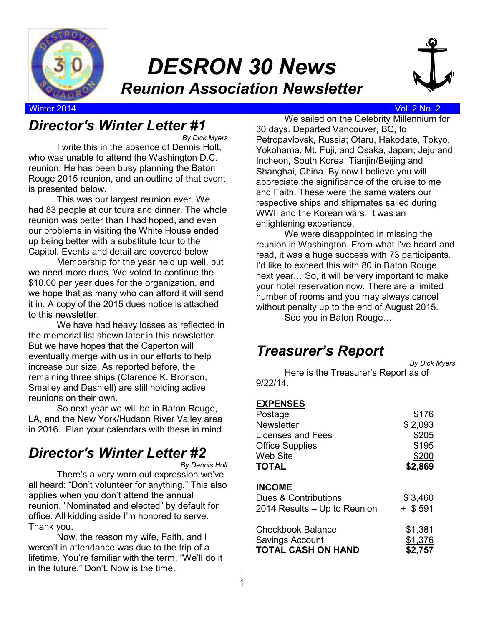

# *DESRON 30 News Reunion Association Newsletter*



#### Winter 2014 Vol. 2 No. 2

### *Director's Winter Letter #1*

*By Dick Myers*  I write this in the absence of Dennis Holt, who was unable to attend the Washington D.C. reunion. He has been busy planning the Baton Rouge 2015 reunion, and an outline of that event is presented below.

This was our largest reunion ever. We had 83 people at our tours and dinner. The whole reunion was better than I had hoped, and even our problems in visiting the White House ended up being better with a substitute tour to the Capitol. Events and detail are covered below

Membership for the year held up well, but we need more dues. We voted to continue the \$10.00 per year dues for the organization, and we hope that as many who can afford it will send it in. A copy of the 2015 dues notice is attached to this newsletter.

We have had heavy losses as reflected in the memorial list shown later in this newsletter. But we have hopes that the Caperton will eventually merge with us in our efforts to help increase our size. As reported before, the remaining three ships (Clarence K. Bronson, Smalley and Dashiell) are still holding active reunions on their own.

So next year we will be in Baton Rouge, LA, and the New York/Hudson River Valley area in 2016. Plan your calendars with these in mind.

# *Director's Winter Letter #2*

*By Dennis Holt* 

There's a very worn out expression we've all heard: "Don't volunteer for anything." This also applies when you don't attend the annual reunion. "Nominated and elected" by default for office. All kidding aside I'm honored to serve. Thank you.

Now, the reason my wife, Faith, and I weren't in attendance was due to the trip of a lifetime. You're familiar with the term, "We'll do it in the future." Don't. Now is the time.

We sailed on the Celebrity Millennium for 30 days. Departed Vancouver, BC, to Petropavlovsk, Russia; Otaru, Hakodate, Tokyo, Yokohama, Mt. Fuji, and Osaka, Japan; Jeju and Incheon, South Korea; Tianjin/Beijing and Shanghai, China. By now I believe you will appreciate the significance of the cruise to me and Faith. These were the same waters our respective ships and shipmates sailed during WWII and the Korean wars. It was an enlightening experience.

We were disappointed in missing the reunion in Washington. From what I've heard and read, it was a huge success with 73 participants. I'd like to exceed this with 80 in Baton Rouge next year... So, it will be very important to make your hotel reservation now. There are a limited number of rooms and you may always cancel without penalty up to the end of August 2015.

See you in Baton Rouge...

### *Treasurer's Report*

*By Dick Myers* 

Here is the Treasurer's Report as of 9/22/14.

#### **EXPENSES**

| Postage                      | \$176     |
|------------------------------|-----------|
| <b>Newsletter</b>            | \$2,093   |
| Licenses and Fees            | \$205     |
| <b>Office Supplies</b>       | \$195     |
| <b>Web Site</b>              | \$200     |
| <b>TOTAL</b>                 | \$2,869   |
|                              |           |
| <b>INCOME</b>                |           |
| Dues & Contributions         | \$3,460   |
| 2014 Results – Up to Reunion | $+$ \$591 |
|                              |           |
| Checkbook Balance            | \$1,381   |
| Savings Account              | \$1,376   |
| <b>TOTAL CASH ON HAND</b>    | \$2,757   |
|                              |           |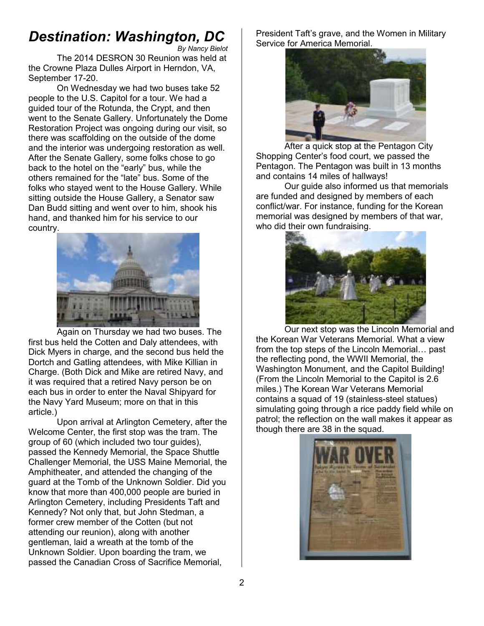# *Destination: Washington, DC*

*By Nancy Bielot*  The 2014 DESRON 30 Reunion was held at the Crowne Plaza Dulles Airport in Herndon, VA, September 17-20.

On Wednesday we had two buses take 52 people to the U.S. Capitol for a tour. We had a guided tour of the Rotunda, the Crypt, and then went to the Senate Gallery. Unfortunately the Dome Restoration Project was ongoing during our visit, so there was scaffolding on the outside of the dome and the interior was undergoing restoration as well. After the Senate Gallery, some folks chose to go back to the hotel on the "early" bus, while the others remained for the "late" bus. Some of the folks who stayed went to the House Gallery. While sitting outside the House Gallery, a Senator saw Dan Budd sitting and went over to him, shook his hand, and thanked him for his service to our country.



Again on Thursday we had two buses. The first bus held the Cotten and Daly attendees, with Dick Myers in charge, and the second bus held the Dortch and Gatling attendees, with Mike Killian in Charge. (Both Dick and Mike are retired Navy, and it was required that a retired Navy person be on each bus in order to enter the Naval Shipyard for the Navy Yard Museum; more on that in this article.)

Upon arrival at Arlington Cemetery, after the Welcome Center, the first stop was the tram. The group of 60 (which included two tour guides), passed the Kennedy Memorial, the Space Shuttle Challenger Memorial, the USS Maine Memorial, the Amphitheater, and attended the changing of the guard at the Tomb of the Unknown Soldier. Did you know that more than 400,000 people are buried in Arlington Cemetery, including Presidents Taft and Kennedy? Not only that, but John Stedman, a former crew member of the Cotten (but not attending our reunion), along with another gentleman, laid a wreath at the tomb of the Unknown Soldier. Upon boarding the tram, we passed the Canadian Cross of Sacrifice Memorial,

President Taft's grave, and the Women in Military Service for America Memorial.



After a quick stop at the Pentagon City Shopping Center's food court, we passed the Pentagon. The Pentagon was built in 13 months and contains 14 miles of hallways!

Our guide also informed us that memorials are funded and designed by members of each conflict/war. For instance, funding for the Korean memorial was designed by members of that war, who did their own fundraising.



Our next stop was the Lincoln Memorial and the Korean War Veterans Memorial. What a view from the top steps of the Lincoln Memorial... past the reflecting pond, the WWII Memorial, the Washington Monument, and the Capitol Building! (From the Lincoln Memorial to the Capitol is 2.6 miles.) The Korean War Veterans Memorial contains a squad of 19 (stainless-steel statues) simulating going through a rice paddy field while on patrol; the reflection on the wall makes it appear as though there are 38 in the squad.

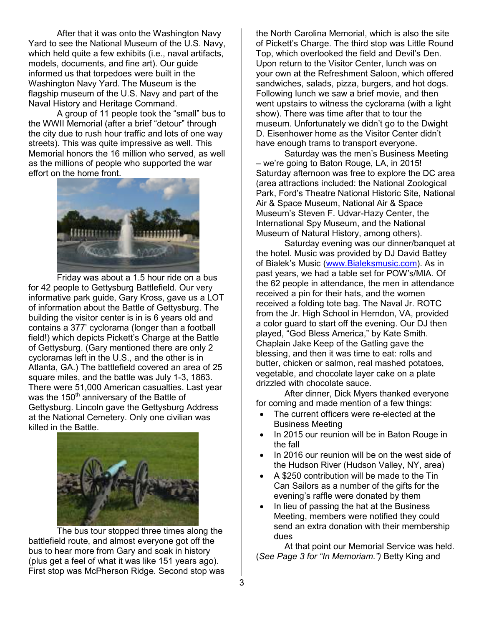After that it was onto the Washington Navy Yard to see the National Museum of the U.S. Navy, which held quite a few exhibits (i.e., naval artifacts, models, documents, and fine art). Our guide informed us that torpedoes were built in the Washington Navy Yard. The Museum is the flagship museum of the U.S. Navy and part of the Naval History and Heritage Command.

A group of 11 people took the "small" bus to the WWII Memorial (after a brief "detour" through the city due to rush hour traffic and lots of one way streets). This was quite impressive as well. This Memorial honors the 16 million who served, as well as the millions of people who supported the war effort on the home front.



Friday was about a 1.5 hour ride on a bus for 42 people to Gettysburg Battlefield. Our very informative park guide, Gary Kross, gave us a LOT of information about the Battle of Gettysburg. The building the visitor center is in is 6 years old and contains a 377' cyclorama (longer than a football field!) which depicts Pickett's Charge at the Battle of Gettysburg. (Gary mentioned there are only 2 cycloramas left in the U.S., and the other is in Atlanta, GA.) The battlefield covered an area of 25 square miles, and the battle was July 1-3, 1863. There were 51,000 American casualties. Last year was the  $150<sup>th</sup>$  anniversary of the Battle of Gettysburg. Lincoln gave the Gettysburg Address at the National Cemetery. Only one civilian was killed in the Battle.



The bus tour stopped three times along the battlefield route, and almost everyone got off the bus to hear more from Gary and soak in history (plus get a feel of what it was like 151 years ago). First stop was McPherson Ridge. Second stop was the North Carolina Memorial, which is also the site of Pickett's Charge. The third stop was Little Round Top, which overlooked the field and Devil's Den. Upon return to the Visitor Center, lunch was on your own at the Refreshment Saloon, which offered sandwiches, salads, pizza, burgers, and hot dogs. Following lunch we saw a brief movie, and then went upstairs to witness the cyclorama (with a light show). There was time after that to tour the museum. Unfortunately we didn't go to the Dwight D. Eisenhower home as the Visitor Center didn't have enough trams to transport everyone.

Saturday was the men's Business Meeting – we're going to Baton Rouge, LA, in 2015! Saturday afternoon was free to explore the DC area (area attractions included: the National Zoological Park, Ford's Theatre National Historic Site, National Air & Space Museum, National Air & Space Museum's Steven F. Udvar-Hazy Center, the International Spy Museum, and the National Museum of Natural History, among others).

 Saturday evening was our dinner/banquet at the hotel. Music was provided by DJ David Battey of Bialek's Music (www.Bialeksmusic.com). As in past years, we had a table set for POW's/MIA. Of the 62 people in attendance, the men in attendance received a pin for their hats, and the women received a folding tote bag. The Naval Jr. ROTC from the Jr. High School in Herndon, VA, provided a color guard to start off the evening. Our DJ then played, "God Bless America," by Kate Smith. Chaplain Jake Keep of the Gatling gave the blessing, and then it was time to eat: rolls and butter, chicken or salmon, real mashed potatoes, vegetable, and chocolate layer cake on a plate drizzled with chocolate sauce.

After dinner, Dick Myers thanked everyone for coming and made mention of a few things:

- The current officers were re-elected at the Business Meeting
- In 2015 our reunion will be in Baton Rouge in the fall
- In 2016 our reunion will be on the west side of the Hudson River (Hudson Valley, NY, area)
- A \$250 contribution will be made to the Tin Can Sailors as a number of the gifts for the evening's raffle were donated by them
- In lieu of passing the hat at the Business Meeting, members were notified they could send an extra donation with their membership dues

At that point our Memorial Service was held. (*See Page 3 for "In Memoriam.")* Betty King and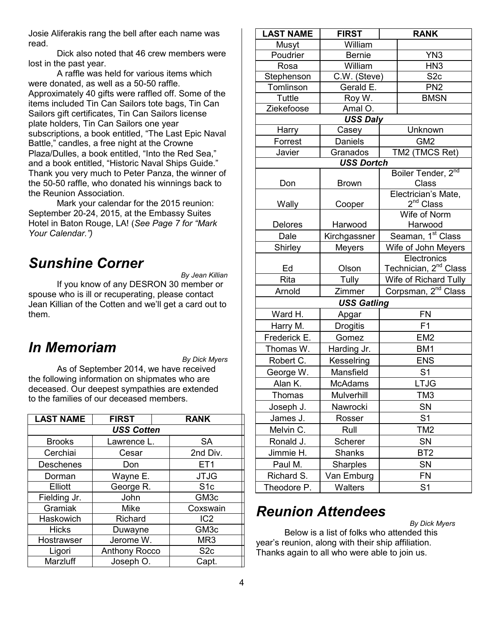Josie Aliferakis rang the bell after each name was read.

Dick also noted that 46 crew members were lost in the past year.

A raffle was held for various items which were donated, as well as a 50-50 raffle. Approximately 40 gifts were raffled off. Some of the items included Tin Can Sailors tote bags, Tin Can Sailors gift certificates, Tin Can Sailors license plate holders, Tin Can Sailors one year subscriptions, a book entitled, "The Last Epic Naval Battle," candles, a free night at the Crowne Plaza/Dulles, a book entitled, "Into the Red Sea," and a book entitled, "Historic Naval Ships Guide." Thank you very much to Peter Panza, the winner of the 50-50 raffle, who donated his winnings back to the Reunion Association.

 Mark your calendar for the 2015 reunion: September 20-24, 2015, at the Embassy Suites Hotel in Baton Rouge, LA! (*See Page 7 for "Mark Your Calendar.")*

## *Sunshine Corner*

*By Jean Killian* 

 If you know of any DESRON 30 member or spouse who is ill or recuperating, please contact Jean Killian of the Cotten and we'll get a card out to them.

### *In Memoriam*

*By Dick Myers* 

 As of September 2014, we have received the following information on shipmates who are deceased. Our deepest sympathies are extended to the families of our deceased members.

| <b>LAST NAME</b>  | <b>FIRST</b>  | <b>RANK</b>      |  |  |
|-------------------|---------------|------------------|--|--|
| <b>USS Cotten</b> |               |                  |  |  |
| <b>Brooks</b>     | Lawrence L.   | <b>SA</b>        |  |  |
| Cerchiai          | Cesar         | 2nd Div.         |  |  |
| <b>Deschenes</b>  | Don           | ET <sub>1</sub>  |  |  |
| Dorman            | Wayne E.      | <b>JTJG</b>      |  |  |
| Elliott           | George R.     | S <sub>1c</sub>  |  |  |
| Fielding Jr.      | John          | GM <sub>3c</sub> |  |  |
| Gramiak           | <b>Mike</b>   | Coxswain         |  |  |
| Haskowich         | Richard       | IC <sub>2</sub>  |  |  |
| <b>Hicks</b>      | Duwayne       | GM <sub>3c</sub> |  |  |
| Hostrawser        | Jerome W.     | MR <sub>3</sub>  |  |  |
| Ligori            | Anthony Rocco | S <sub>2c</sub>  |  |  |
| Marzluff          | Joseph O.     | Capt.            |  |  |

| <b>LAST NAME</b> | <b>FIRST</b>                  | <b>RANK</b>                       |                                    |
|------------------|-------------------------------|-----------------------------------|------------------------------------|
| Musyt            | William                       |                                   |                                    |
| Poudrier         | <b>Bernie</b>                 |                                   | YN <sub>3</sub>                    |
| Rosa             | William                       |                                   | HN <sub>3</sub>                    |
| Stephenson       | C.W. (Steve)                  |                                   | S <sub>2c</sub>                    |
| Tomlinson        | Gerald E.                     |                                   | PN <sub>2</sub>                    |
| <b>Tuttle</b>    | Roy W.                        |                                   | <b>BMSN</b>                        |
| Ziekefoose       | Amal O.                       |                                   |                                    |
|                  | <b>USS Daly</b>               |                                   |                                    |
| Harry            | Casey                         |                                   | Unknown                            |
| Forrest          | <b>Daniels</b>                |                                   | GM <sub>2</sub>                    |
| Javier           | Granados                      |                                   | TM2 (TMCS Ret)                     |
|                  | <b>USS Dortch</b>             |                                   |                                    |
| Don              | <b>Brown</b>                  |                                   | Boiler Tender, 2nd<br><b>Class</b> |
|                  |                               |                                   | Electrician's Mate,                |
| Wally            | Cooper                        |                                   | $2^{nd}$ Class                     |
|                  |                               |                                   | Wife of Norm                       |
| Delores          | Harwood                       | Harwood                           |                                    |
| Dale             | Kirchgassner                  |                                   | Seaman, 1 <sup>st</sup> Class      |
| Shirley          | <b>Meyers</b>                 | Wife of John Meyers               |                                    |
|                  |                               |                                   | Electronics                        |
| Ed               | Olson                         | Technician, 2 <sup>nd</sup> Class |                                    |
| Rita             | Tully                         | Wife of Richard Tully             |                                    |
| Arnold           | Zimmer                        | Corpsman, 2 <sup>nd</sup> Class   |                                    |
|                  | <b>USS Gatling</b>            |                                   |                                    |
| Ward H.          | Apgar                         |                                   | <b>FN</b>                          |
| Harry M.         | <b>Drogitis</b>               |                                   | F1                                 |
| Frederick E.     | Gomez                         |                                   | EM <sub>2</sub>                    |
| Thomas W.        | Harding Jr.                   |                                   | BM1                                |
| Robert C.        | Kesselring                    |                                   | <b>ENS</b>                         |
| George W.        | Mansfield                     | S <sub>1</sub>                    |                                    |
| Alan K.          | <b>McAdams</b>                |                                   | <b>LTJG</b>                        |
| Thomas           | Mulverhill                    |                                   | TM3                                |
| Joseph J.        | Nawrocki                      | SN                                |                                    |
| James J.         |                               |                                   |                                    |
|                  | Rosser                        |                                   | S <sub>1</sub>                     |
| Melvin C.        | Rull                          |                                   | TM2                                |
| Ronald J.        | Scherer                       |                                   | SN                                 |
| Jimmie H.        | <b>Shanks</b>                 |                                   | BT <sub>2</sub>                    |
| Paul M.          |                               |                                   | SN                                 |
| Richard S.       | <b>Sharples</b><br>Van Emburg |                                   | <b>FN</b>                          |

# *Reunion Attendees*

*By Dick Myers* 

Below is a list of folks who attended this year's reunion, along with their ship affiliation. Thanks again to all who were able to join us.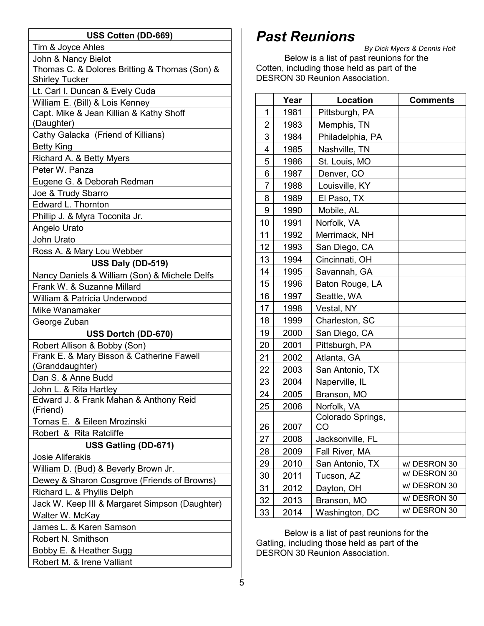| USS Cotten (DD-669)                                   |  |  |  |  |
|-------------------------------------------------------|--|--|--|--|
| Tim & Joyce Ahles                                     |  |  |  |  |
| John & Nancy Bielot                                   |  |  |  |  |
| Thomas C. & Dolores Britting & Thomas (Son) &         |  |  |  |  |
| <b>Shirley Tucker</b>                                 |  |  |  |  |
| Lt. Carl I. Duncan & Evely Cuda                       |  |  |  |  |
| William E. (Bill) & Lois Kenney                       |  |  |  |  |
| Capt. Mike & Jean Killian & Kathy Shoff<br>(Daughter) |  |  |  |  |
| Cathy Galacka (Friend of Killians)                    |  |  |  |  |
| <b>Betty King</b>                                     |  |  |  |  |
| Richard A. & Betty Myers                              |  |  |  |  |
| Peter W. Panza                                        |  |  |  |  |
| Eugene G. & Deborah Redman                            |  |  |  |  |
| Joe & Trudy Sbarro                                    |  |  |  |  |
| Edward L. Thornton                                    |  |  |  |  |
| Phillip J. & Myra Toconita Jr.                        |  |  |  |  |
| Angelo Urato                                          |  |  |  |  |
| John Urato                                            |  |  |  |  |
| Ross A. & Mary Lou Webber                             |  |  |  |  |
| USS Daly (DD-519)                                     |  |  |  |  |
| Nancy Daniels & William (Son) & Michele Delfs         |  |  |  |  |
| Frank W. & Suzanne Millard                            |  |  |  |  |
| William & Patricia Underwood                          |  |  |  |  |
| Mike Wanamaker                                        |  |  |  |  |
| George Zuban                                          |  |  |  |  |
| USS Dortch (DD-670)                                   |  |  |  |  |
| Robert Allison & Bobby (Son)                          |  |  |  |  |
| Frank E. & Mary Bisson & Catherine Fawell             |  |  |  |  |
| (Granddaughter)                                       |  |  |  |  |
| Dan S. & Anne Budd                                    |  |  |  |  |
| John L. & Rita Hartley                                |  |  |  |  |
| Edward J. & Frank Mahan & Anthony Reid<br>(Friend)    |  |  |  |  |
| Tomas E. & Eileen Mrozinski                           |  |  |  |  |
| Robert & Rita Ratcliffe                               |  |  |  |  |
| USS Gatling (DD-671)                                  |  |  |  |  |
| <b>Josie Aliferakis</b>                               |  |  |  |  |
| William D. (Bud) & Beverly Brown Jr.                  |  |  |  |  |
| Dewey & Sharon Cosgrove (Friends of Browns)           |  |  |  |  |
| Richard L. & Phyllis Delph                            |  |  |  |  |
| Jack W. Keep III & Margaret Simpson (Daughter)        |  |  |  |  |
| Walter W. McKay                                       |  |  |  |  |
| James L. & Karen Samson                               |  |  |  |  |
| Robert N. Smithson                                    |  |  |  |  |
| Bobby E. & Heather Sugg                               |  |  |  |  |
| Robert M. & Irene Valliant                            |  |  |  |  |

# *Past Reunions*

*By Dick Myers & Dennis Holt*  Below is a list of past reunions for the Cotten, including those held as part of the DESRON 30 Reunion Association.

|                | Year | <b>Location</b>         | <b>Comments</b> |  |  |
|----------------|------|-------------------------|-----------------|--|--|
| 1              | 1981 | Pittsburgh, PA          |                 |  |  |
| $\overline{2}$ | 1983 | Memphis, TN             |                 |  |  |
| 3              | 1984 | Philadelphia, PA        |                 |  |  |
| 4              | 1985 | Nashville, TN           |                 |  |  |
| 5              | 1986 | St. Louis, MO           |                 |  |  |
| 6              | 1987 | Denver, CO              |                 |  |  |
| 7              | 1988 | Louisville, KY          |                 |  |  |
| 8              | 1989 | El Paso, TX             |                 |  |  |
| 9              | 1990 | Mobile, AL              |                 |  |  |
| 10             | 1991 | Norfolk, VA             |                 |  |  |
| 11             | 1992 | Merrimack, NH           |                 |  |  |
| 12             | 1993 | San Diego, CA           |                 |  |  |
| 13             | 1994 | Cincinnati, OH          |                 |  |  |
| 14             | 1995 | Savannah, GA            |                 |  |  |
| 15             | 1996 | Baton Rouge, LA         |                 |  |  |
| 16             | 1997 | Seattle, WA             |                 |  |  |
| 17             | 1998 | Vestal, NY              |                 |  |  |
| 18             | 1999 | Charleston, SC          |                 |  |  |
| 19             | 2000 | San Diego, CA           |                 |  |  |
| 20             | 2001 | Pittsburgh, PA          |                 |  |  |
| 21             | 2002 | Atlanta, GA             |                 |  |  |
| 22             | 2003 | San Antonio, TX         |                 |  |  |
| 23             | 2004 | Naperville, IL          |                 |  |  |
| 24             | 2005 | Branson, MO             |                 |  |  |
| 25             | 2006 | Norfolk, VA             |                 |  |  |
| 26             | 2007 | Colorado Springs,<br>CO |                 |  |  |
| 27             | 2008 | Jacksonville, FL        |                 |  |  |
| 28             | 2009 | Fall River, MA          |                 |  |  |
| 29             | 2010 | San Antonio, TX         | w/DESRON 30     |  |  |
| 30             | 2011 | Tucson, AZ              | w/DESRON 30     |  |  |
| 31             | 2012 | Dayton, OH              | w/DESRON 30     |  |  |
| 32             | 2013 | Branson, MO             | w/DESRON 30     |  |  |
| 33             | 2014 | Washington, DC          | w/DESRON 30     |  |  |

Below is a list of past reunions for the Gatling, including those held as part of the DESRON 30 Reunion Association.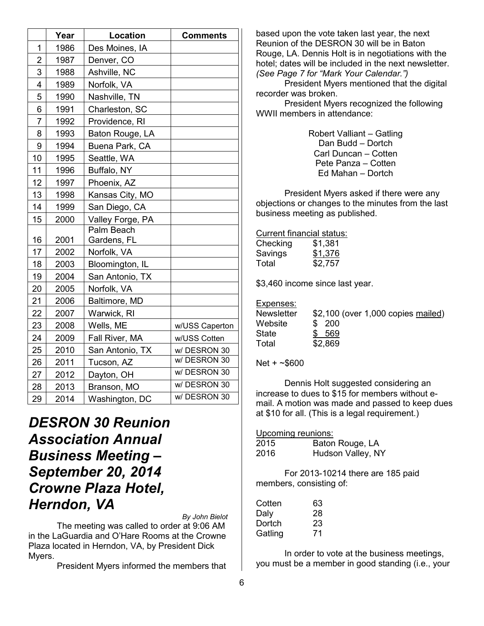|                | Year | Location         | <b>Comments</b> |
|----------------|------|------------------|-----------------|
| 1              | 1986 | Des Moines, IA   |                 |
| 2              | 1987 | Denver, CO       |                 |
| 3              | 1988 | Ashville, NC     |                 |
| 4              | 1989 | Norfolk, VA      |                 |
| 5              | 1990 | Nashville, TN    |                 |
| 6              | 1991 | Charleston, SC   |                 |
| $\overline{7}$ | 1992 | Providence, RI   |                 |
| 8              | 1993 | Baton Rouge, LA  |                 |
| 9              | 1994 | Buena Park, CA   |                 |
| 10             | 1995 | Seattle, WA      |                 |
| 11             | 1996 | Buffalo, NY      |                 |
| 12             | 1997 | Phoenix, AZ      |                 |
| 13             | 1998 | Kansas City, MO  |                 |
| 14             | 1999 | San Diego, CA    |                 |
| 15             | 2000 | Valley Forge, PA |                 |
|                |      | Palm Beach       |                 |
| 16             | 2001 | Gardens, FL      |                 |
| 17             | 2002 | Norfolk, VA      |                 |
| 18             | 2003 | Bloomington, IL  |                 |
| 19             | 2004 | San Antonio, TX  |                 |
| 20             | 2005 | Norfolk, VA      |                 |
| 21             | 2006 | Baltimore, MD    |                 |
| 22             | 2007 | Warwick, RI      |                 |
| 23             | 2008 | Wells, ME        | w/USS Caperton  |
| 24             | 2009 | Fall River, MA   | w/USS Cotten    |
| 25             | 2010 | San Antonio, TX  | w/DESRON 30     |
| 26             | 2011 | Tucson, AZ       | w/DESRON 30     |
| 27             | 2012 | Dayton, OH       | w/DESRON 30     |
| 28             | 2013 | Branson, MO      | w/DESRON 30     |
| 29             | 2014 | Washington, DC   | w/DESRON 30     |

*DESRON 30 Reunion Association Annual Business Meeting – September 20, 2014 Crowne Plaza Hotel, Herndon, VA* 

*By John Bielot* 

The meeting was called to order at 9:06 AM in the LaGuardia and O'Hare Rooms at the Crowne Plaza located in Herndon, VA, by President Dick Myers.

President Myers informed the members that

based upon the vote taken last year, the next Reunion of the DESRON 30 will be in Baton Rouge, LA. Dennis Holt is in negotiations with the hotel; dates will be included in the next newsletter. *(See Page 7 for "Mark Your Calendar.")*

 President Myers mentioned that the digital recorder was broken.

President Myers recognized the following WWII members in attendance:

> Robert Valliant – Gatling Dan Budd – Dortch Carl Duncan – Cotten Pete Panza – Cotten Ed Mahan – Dortch

President Myers asked if there were any objections or changes to the minutes from the last business meeting as published.

Current financial status:

| Checking | \$1,381 |
|----------|---------|
| Savings  | \$1,376 |
| Total    | \$2,757 |

\$3,460 income since last year.

#### Expenses:

| <b>Newsletter</b> | \$2,100 (over 1,000 copies mailed) |
|-------------------|------------------------------------|
| Website           | \$ 200                             |
| State             | \$ 569                             |
| Total             | \$2,869                            |

Net + ~\$600

Dennis Holt suggested considering an increase to dues to \$15 for members without email. A motion was made and passed to keep dues at \$10 for all. (This is a legal requirement.)

Upcoming reunions:

| 2015 | Baton Rouge, LA   |
|------|-------------------|
| 2016 | Hudson Valley, NY |

For 2013-10214 there are 185 paid members, consisting of:

| Cotten  | 63 |
|---------|----|
| Daly    | 28 |
| Dortch  | 23 |
| Gatling | 71 |

In order to vote at the business meetings, you must be a member in good standing (i.e., your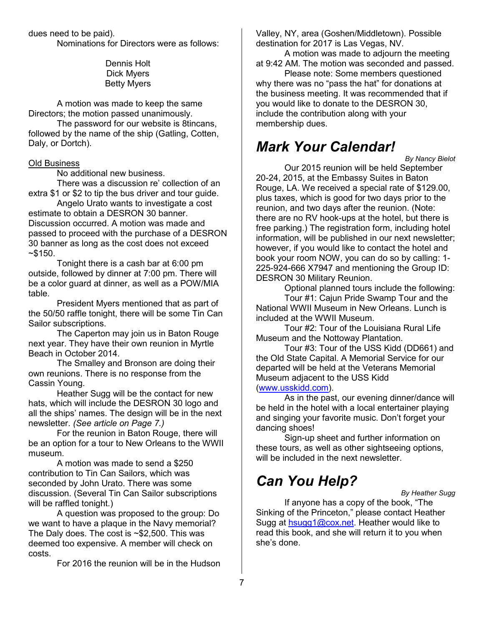dues need to be paid).

Nominations for Directors were as follows:

Dennis Holt Dick Myers Betty Myers

A motion was made to keep the same Directors; the motion passed unanimously.

The password for our website is 8tincans, followed by the name of the ship (Gatling, Cotten, Daly, or Dortch).

#### Old Business

No additional new business.

There was a discussion re' collection of an extra \$1 or \$2 to tip the bus driver and tour guide.

Angelo Urato wants to investigate a cost estimate to obtain a DESRON 30 banner. Discussion occurred. A motion was made and passed to proceed with the purchase of a DESRON 30 banner as long as the cost does not exceed  $~5150.$ 

Tonight there is a cash bar at 6:00 pm outside, followed by dinner at 7:00 pm. There will be a color guard at dinner, as well as a POW/MIA table.

President Myers mentioned that as part of the 50/50 raffle tonight, there will be some Tin Can Sailor subscriptions.

The Caperton may join us in Baton Rouge next year. They have their own reunion in Myrtle Beach in October 2014.

The Smalley and Bronson are doing their own reunions. There is no response from the Cassin Young.

Heather Sugg will be the contact for new hats, which will include the DESRON 30 logo and all the ships' names. The design will be in the next newsletter. *(See article on Page 7.)* 

 For the reunion in Baton Rouge, there will be an option for a tour to New Orleans to the WWII museum.

A motion was made to send a \$250 contribution to Tin Can Sailors, which was seconded by John Urato. There was some discussion. (Several Tin Can Sailor subscriptions will be raffled tonight.)

 A question was proposed to the group: Do we want to have a plaque in the Navy memorial? The Daly does. The cost is ~\$2,500. This was deemed too expensive. A member will check on costs.

For 2016 the reunion will be in the Hudson

Valley, NY, area (Goshen/Middletown). Possible destination for 2017 is Las Vegas, NV.

A motion was made to adjourn the meeting at 9:42 AM. The motion was seconded and passed.

Please note: Some members questioned why there was no "pass the hat" for donations at the business meeting. It was recommended that if you would like to donate to the DESRON 30, include the contribution along with your membership dues.

### *Mark Your Calendar!*

*By Nancy Bielot* 

Our 2015 reunion will be held September 20-24, 2015, at the Embassy Suites in Baton Rouge, LA. We received a special rate of \$129.00, plus taxes, which is good for two days prior to the reunion, and two days after the reunion. (Note: there are no RV hook-ups at the hotel, but there is free parking.) The registration form, including hotel information, will be published in our next newsletter; however, if you would like to contact the hotel and book your room NOW, you can do so by calling: 1- 225-924-666 X7947 and mentioning the Group ID: DESRON 30 Military Reunion.

Optional planned tours include the following:

Tour #1: Cajun Pride Swamp Tour and the National WWII Museum in New Orleans. Lunch is included at the WWII Museum.

Tour #2: Tour of the Louisiana Rural Life Museum and the Nottoway Plantation.

Tour #3: Tour of the USS Kidd (DD661) and the Old State Capital. A Memorial Service for our departed will be held at the Veterans Memorial Museum adjacent to the USS Kidd (www.usskidd.com).

As in the past, our evening dinner/dance will be held in the hotel with a local entertainer playing and singing your favorite music. Don't forget your dancing shoes!

Sign-up sheet and further information on these tours, as well as other sightseeing options, will be included in the next newsletter.

### *Can You Help?*

*By Heather Sugg* 

If anyone has a copy of the book, "The Sinking of the Princeton," please contact Heather Sugg at hsugg1@cox.net. Heather would like to read this book, and she will return it to you when she's done.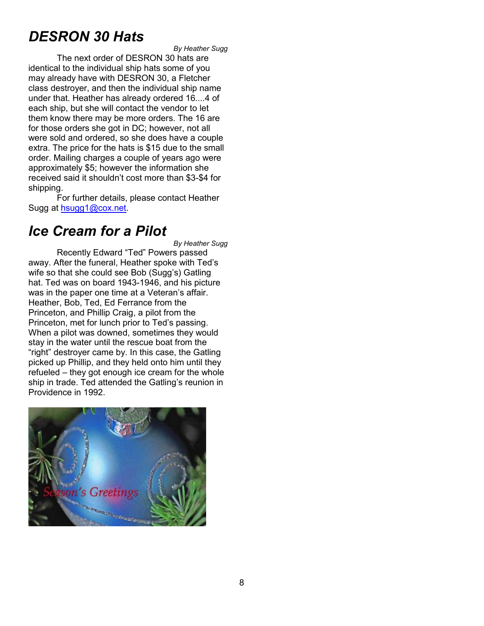# *DESRON 30 Hats*

*By Heather Sugg* 

The next order of DESRON 30 hats are identical to the individual ship hats some of you may already have with DESRON 30, a Fletcher class destroyer, and then the individual ship name under that. Heather has already ordered 16....4 of each ship, but she will contact the vendor to let them know there may be more orders. The 16 are for those orders she got in DC; however, not all were sold and ordered, so she does have a couple extra. The price for the hats is \$15 due to the small order. Mailing charges a couple of years ago were approximately \$5; however the information she received said it shouldn't cost more than \$3-\$4 for shipping.

 For further details, please contact Heather Sugg at hsugg1@cox.net.

### *Ice Cream for a Pilot*

*By Heather Sugg* 

Recently Edward "Ted" Powers passed away. After the funeral, Heather spoke with Ted's wife so that she could see Bob (Sugg's) Gatling hat. Ted was on board 1943-1946, and his picture was in the paper one time at a Veteran's affair. Heather, Bob, Ted, Ed Ferrance from the Princeton, and Phillip Craig, a pilot from the Princeton, met for lunch prior to Ted's passing. When a pilot was downed, sometimes they would stay in the water until the rescue boat from the "right" destroyer came by. In this case, the Gatling picked up Phillip, and they held onto him until they refueled – they got enough ice cream for the whole ship in trade. Ted attended the Gatling's reunion in Providence in 1992.